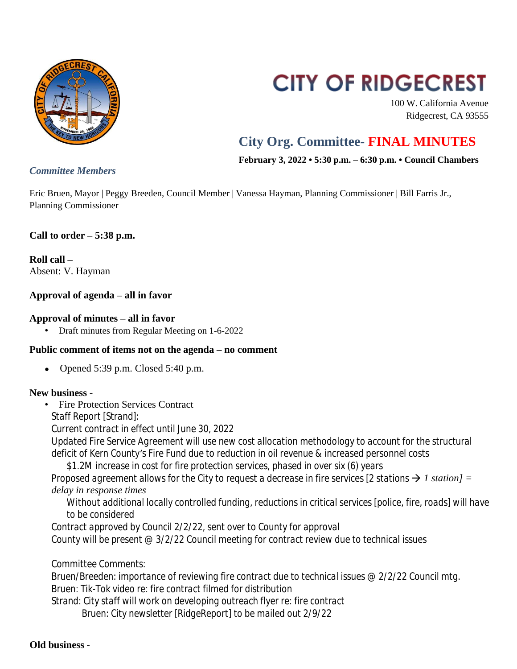

# **CITY OF RIDGECREST**

100 W. California Avenue Ridgecrest, CA 93555

# **City Org. Committee- FINAL MINUTES**

**February 3, 2022 • 5:30 p.m. – 6:30 p.m. • Council Chambers**

Eric Bruen, Mayor | Peggy Breeden, Council Member | Vanessa Hayman, Planning Commissioner | Bill Farris Jr., Planning Commissioner

# **Call to order – 5:38 p.m.**

**Roll call –** Absent: V. Hayman

### **Approval of agenda – all in favor**

#### **Approval of minutes – all in favor**

• Draft minutes from Regular Meeting on 1-6-2022

#### **Public comment of items not on the agenda – no comment**

• Opened  $5:39$  p.m. Closed  $5:40$  p.m.

#### **New business -**

- Fire Protection Services Contract
	- *Staff Report [Strand]:*

*Current contract in effect until June 30, 2022*

*Updated Fire Service Agreement will use new cost allocation methodology to account for the structural deficit of Kern County's Fire Fund due to reduction in oil revenue & increased personnel costs*

*\$1.2M increase in cost for fire protection services, phased in over six (6) years Proposed agreement allows for the City to request a decrease in fire services [2 stations*  $\rightarrow$  *1 station] = delay in response times*

*Without additional locally controlled funding, reductions in critical services [police, fire, roads] will have to be considered*

*Contract approved by Council 2/2/22, sent over to County for approval County will be present @ 3/2/22 Council meeting for contract review due to technical issues*

*Committee Comments:*

*Bruen/Breeden: importance of reviewing fire contract due to technical issues @ 2/2/22 Council mtg. Bruen: Tik-Tok video re: fire contract filmed for distribution Strand: City staff will work on developing outreach flyer re: fire contract Bruen: City newsletter [RidgeReport] to be mailed out 2/9/22*

# *Committee Members*

**Old business -**